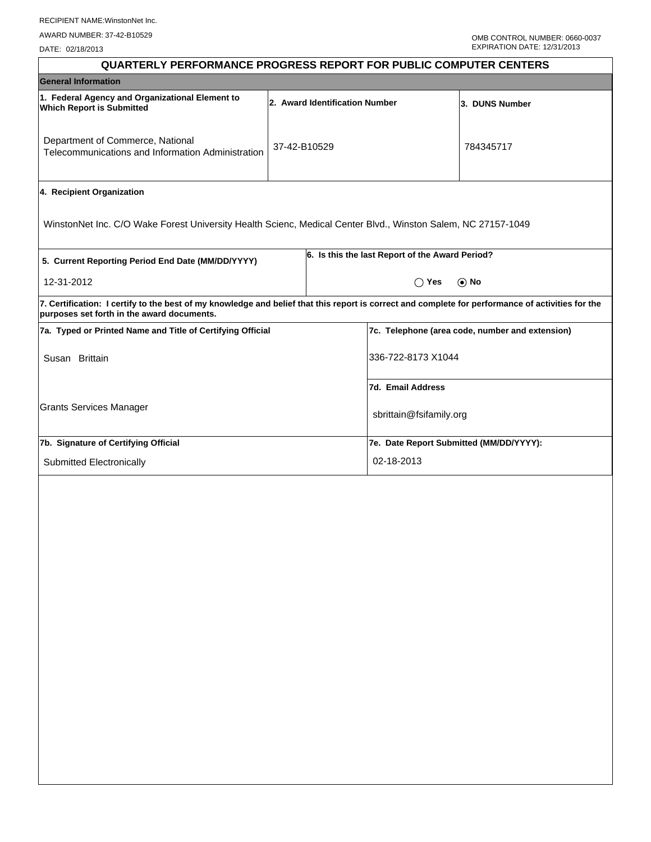DATE: 02/18/2013

| <b>QUARTERLY PERFORMANCE PROGRESS REPORT FOR PUBLIC COMPUTER CENTERS</b>                                                                                                                        |                                |  |                                                 |                                                 |  |  |
|-------------------------------------------------------------------------------------------------------------------------------------------------------------------------------------------------|--------------------------------|--|-------------------------------------------------|-------------------------------------------------|--|--|
| <b>General Information</b>                                                                                                                                                                      |                                |  |                                                 |                                                 |  |  |
| 1. Federal Agency and Organizational Element to<br><b>Which Report is Submitted</b>                                                                                                             | 2. Award Identification Number |  |                                                 | 3. DUNS Number                                  |  |  |
| Department of Commerce, National<br>Telecommunications and Information Administration                                                                                                           | 37-42-B10529                   |  |                                                 | 784345717                                       |  |  |
| 4. Recipient Organization                                                                                                                                                                       |                                |  |                                                 |                                                 |  |  |
| WinstonNet Inc. C/O Wake Forest University Health Scienc, Medical Center Blvd., Winston Salem, NC 27157-1049                                                                                    |                                |  |                                                 |                                                 |  |  |
| 5. Current Reporting Period End Date (MM/DD/YYYY)                                                                                                                                               |                                |  | 6. Is this the last Report of the Award Period? |                                                 |  |  |
| 12-31-2012                                                                                                                                                                                      |                                |  | $\bigcap$ Yes                                   | $\odot$ No                                      |  |  |
| 7. Certification: I certify to the best of my knowledge and belief that this report is correct and complete for performance of activities for the<br>purposes set forth in the award documents. |                                |  |                                                 |                                                 |  |  |
| 7a. Typed or Printed Name and Title of Certifying Official                                                                                                                                      |                                |  |                                                 | 7c. Telephone (area code, number and extension) |  |  |
| Susan Brittain                                                                                                                                                                                  |                                |  | 336-722-8173 X1044                              |                                                 |  |  |
|                                                                                                                                                                                                 |                                |  | 7d. Email Address                               |                                                 |  |  |
| <b>Grants Services Manager</b>                                                                                                                                                                  |                                |  | sbrittain@fsifamily.org                         |                                                 |  |  |
| 7b. Signature of Certifying Official                                                                                                                                                            |                                |  | 7e. Date Report Submitted (MM/DD/YYYY):         |                                                 |  |  |
| Submitted Electronically                                                                                                                                                                        |                                |  | 02-18-2013                                      |                                                 |  |  |
|                                                                                                                                                                                                 |                                |  |                                                 |                                                 |  |  |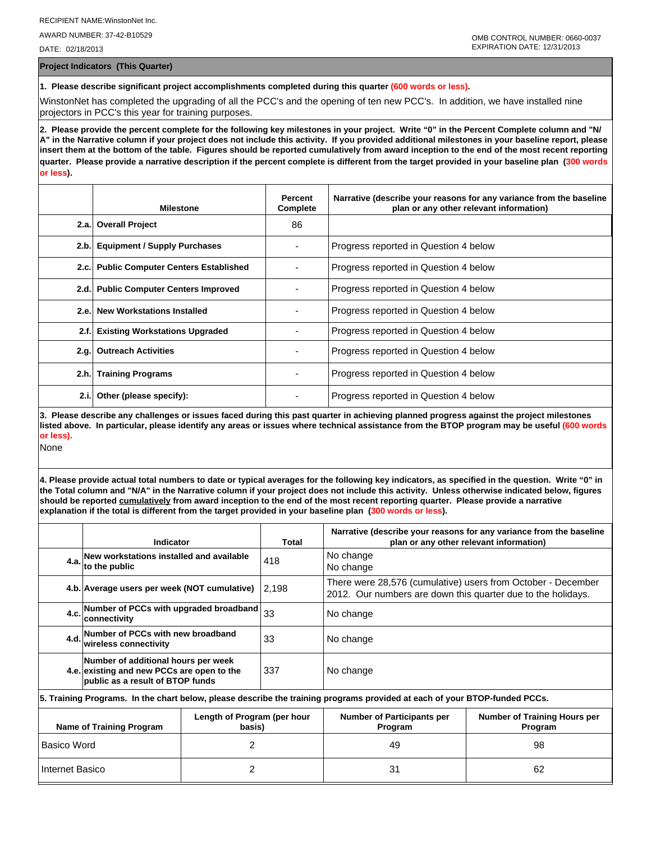AWARD NUMBER: 37-42-B10529

DATE: 02/18/2013

**Project Indicators (This Quarter)**

**1. Please describe significant project accomplishments completed during this quarter (600 words or less).**

WinstonNet has completed the upgrading of all the PCC's and the opening of ten new PCC's. In addition, we have installed nine projectors in PCC's this year for training purposes.

**2. Please provide the percent complete for the following key milestones in your project. Write "0" in the Percent Complete column and "N/ A" in the Narrative column if your project does not include this activity. If you provided additional milestones in your baseline report, please insert them at the bottom of the table. Figures should be reported cumulatively from award inception to the end of the most recent reporting quarter. Please provide a narrative description if the percent complete is different from the target provided in your baseline plan (300 words or less).**

|       | <b>Milestone</b>                         | Percent<br><b>Complete</b> | Narrative (describe your reasons for any variance from the baseline<br>plan or any other relevant information) |
|-------|------------------------------------------|----------------------------|----------------------------------------------------------------------------------------------------------------|
|       | 2.a. Overall Project                     | 86                         |                                                                                                                |
| 2.b.  | <b>Equipment / Supply Purchases</b>      |                            | Progress reported in Question 4 below                                                                          |
|       | 2.c. Public Computer Centers Established |                            | Progress reported in Question 4 below                                                                          |
|       | 2.d. Public Computer Centers Improved    |                            | Progress reported in Question 4 below                                                                          |
| 2.e.  | <b>New Workstations Installed</b>        |                            | Progress reported in Question 4 below                                                                          |
| 2.f.  | <b>Existing Workstations Upgraded</b>    |                            | Progress reported in Question 4 below                                                                          |
|       | 2.g. Outreach Activities                 |                            | Progress reported in Question 4 below                                                                          |
|       | 2.h. Training Programs                   |                            | Progress reported in Question 4 below                                                                          |
| 2.i.l | Other (please specify):                  |                            | Progress reported in Question 4 below                                                                          |

**3. Please describe any challenges or issues faced during this past quarter in achieving planned progress against the project milestones listed above. In particular, please identify any areas or issues where technical assistance from the BTOP program may be useful (600 words or less).**

None

**4. Please provide actual total numbers to date or typical averages for the following key indicators, as specified in the question. Write "0" in the Total column and "N/A" in the Narrative column if your project does not include this activity. Unless otherwise indicated below, figures should be reported cumulatively from award inception to the end of the most recent reporting quarter. Please provide a narrative explanation if the total is different from the target provided in your baseline plan (300 words or less).** 

|                                                                          | Indicator                                                                                                                  |  | Total                                        | Narrative (describe your reasons for any variance from the baseline<br>plan or any other relevant information)               |  |  |  |
|--------------------------------------------------------------------------|----------------------------------------------------------------------------------------------------------------------------|--|----------------------------------------------|------------------------------------------------------------------------------------------------------------------------------|--|--|--|
|                                                                          | 4.a. New workstations installed and available<br>to the public                                                             |  | 418                                          | No change<br>No change                                                                                                       |  |  |  |
|                                                                          | 4.b. Average users per week (NOT cumulative)                                                                               |  | 12.198                                       | There were 28,576 (cumulative) users from October - December<br>2012. Our numbers are down this quarter due to the holidays. |  |  |  |
|                                                                          | Number of PCCs with upgraded broadband 33<br>4.c.<br>∣connectivitv                                                         |  |                                              | No change                                                                                                                    |  |  |  |
|                                                                          | 4.d. Number of PCCs with new broadband<br>wireless connectivity                                                            |  | 33                                           | No change                                                                                                                    |  |  |  |
|                                                                          | Number of additional hours per week<br>4.e. existing and new PCCs are open to the<br>public as a result of BTOP funds      |  | 337                                          | No change                                                                                                                    |  |  |  |
|                                                                          | 5. Training Programs. In the chart below, please describe the training programs provided at each of your BTOP-funded PCCs. |  |                                              |                                                                                                                              |  |  |  |
| Length of Program (per hour<br><b>Name of Training Program</b><br>basis) |                                                                                                                            |  | <b>Number of Participants per</b><br>Program | Number of Training Hours per<br>Program                                                                                      |  |  |  |
| <b>Basico Word</b><br>2                                                  |                                                                                                                            |  | 49                                           | 98                                                                                                                           |  |  |  |
| 2<br>Internet Basico                                                     |                                                                                                                            |  | 31                                           | 62                                                                                                                           |  |  |  |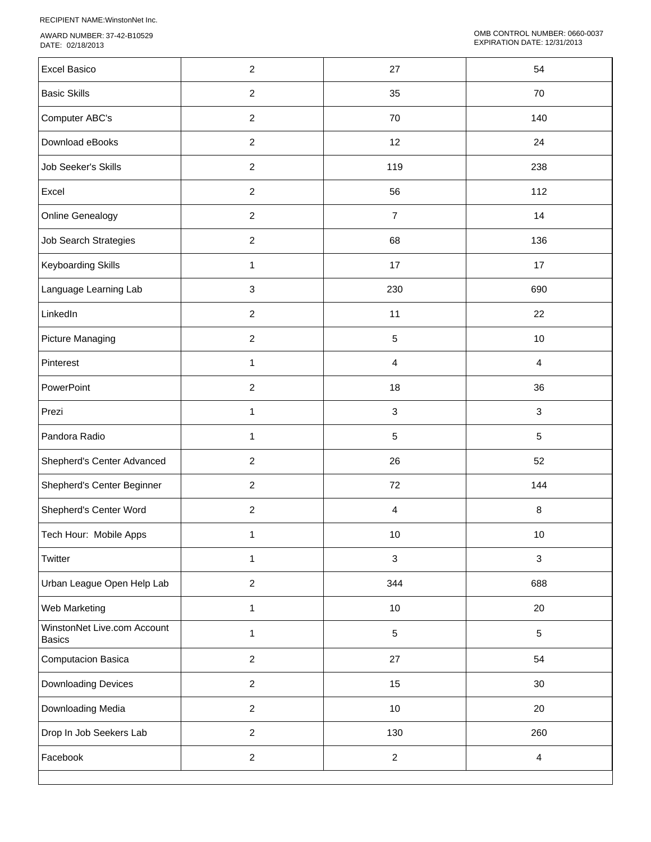RECIPIENT NAME:WinstonNet Inc.

AWARD NUMBER: 37-42-B10529 DATE: 02/18/2013

| <b>Excel Basico</b>                          | $\overline{\mathbf{c}}$ | 27                        | 54             |
|----------------------------------------------|-------------------------|---------------------------|----------------|
| <b>Basic Skills</b>                          | $\overline{c}$          | 35                        | 70             |
| Computer ABC's                               | $\overline{c}$          | 70                        | 140            |
| Download eBooks                              | $\overline{2}$          | 12                        | 24             |
| Job Seeker's Skills                          | $\overline{c}$          | 119                       | 238            |
| Excel                                        | $\overline{2}$          | 56                        | 112            |
| Online Genealogy                             | $\overline{2}$          | $\overline{7}$            | 14             |
| Job Search Strategies                        | $\overline{2}$          | 68                        | 136            |
| Keyboarding Skills                           | 1                       | 17                        | 17             |
| Language Learning Lab                        | 3                       | 230                       | 690            |
| LinkedIn                                     | $\overline{2}$          | 11                        | 22             |
| <b>Picture Managing</b>                      | $\overline{c}$          | 5                         | 10             |
| Pinterest                                    | 1                       | 4                         | $\overline{4}$ |
| PowerPoint                                   | $\overline{c}$          | 18                        | 36             |
| Prezi                                        | $\mathbf{1}$            | 3                         | $\mathbf{3}$   |
| Pandora Radio                                | $\mathbf{1}$            | 5                         | $5\,$          |
| Shepherd's Center Advanced                   | $\overline{2}$          | 26                        | 52             |
| Shepherd's Center Beginner                   | $\overline{c}$          | 72                        | 144            |
| Shepherd's Center Word                       | $\overline{c}$          | 4                         | $\,8\,$        |
| Tech Hour: Mobile Apps                       | 1                       | 10                        | 10             |
| Twitter                                      | $\mathbf{1}$            | $\ensuremath{\mathsf{3}}$ | $\mathbf{3}$   |
| Urban League Open Help Lab                   | $\overline{a}$          | 344                       | 688            |
| Web Marketing                                | $\mathbf{1}$            | $10$                      | 20             |
| WinstonNet Live.com Account<br><b>Basics</b> | $\mathbf{1}$            | $\mathbf 5$               | $5\,$          |
| Computacion Basica                           | $\overline{2}$          | 27                        | 54             |
| Downloading Devices                          | $\overline{a}$          | 15                        | 30             |
| Downloading Media                            | $\overline{a}$          | $10\,$                    | 20             |
| Drop In Job Seekers Lab                      | $\overline{a}$          | 130                       | 260            |
| Facebook                                     | $\overline{a}$          | $\overline{c}$            | $\overline{4}$ |
|                                              |                         |                           |                |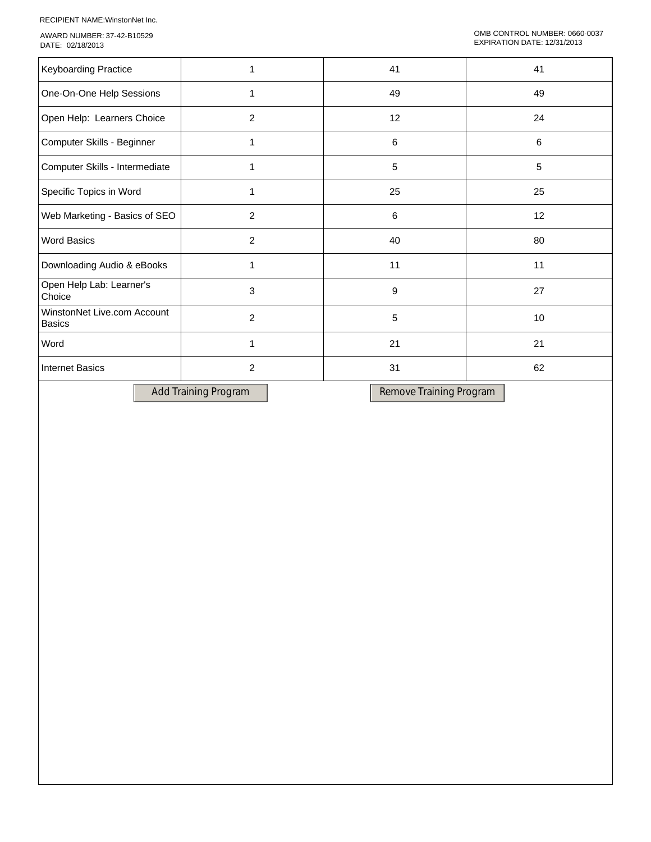RECIPIENT NAME:WinstonNet Inc.

AWARD NUMBER: 37-42-B10529 DATE: 02/18/2013

| Keyboarding Practice                         |                | 41 | 41 |
|----------------------------------------------|----------------|----|----|
| One-On-One Help Sessions                     |                | 49 | 49 |
| Open Help: Learners Choice                   | 2              | 12 | 24 |
| Computer Skills - Beginner                   |                | 6  | 6  |
| Computer Skills - Intermediate               |                | 5  | 5  |
| Specific Topics in Word                      |                | 25 | 25 |
| Web Marketing - Basics of SEO                | 2              | 6  | 12 |
| <b>Word Basics</b>                           | $\overline{2}$ | 40 | 80 |
| Downloading Audio & eBooks                   |                | 11 | 11 |
| Open Help Lab: Learner's<br>Choice           | 3              | 9  | 27 |
| WinstonNet Live.com Account<br><b>Basics</b> | 2              | 5  | 10 |
| Word                                         |                | 21 | 21 |
| <b>Internet Basics</b>                       | $\overline{c}$ | 31 | 62 |
|                                              |                |    |    |

Add Training Program Remove Training Program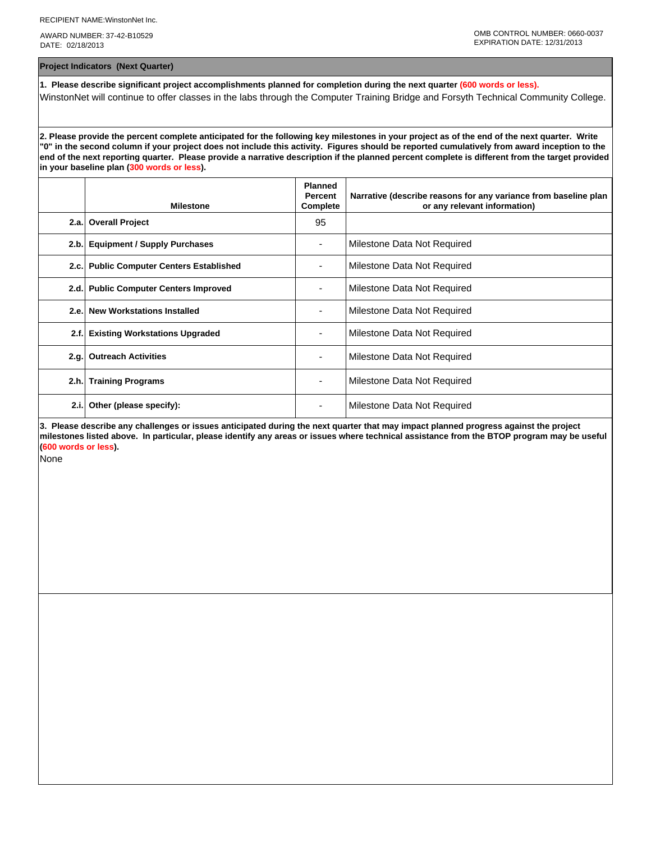AWARD NUMBER: 37-42-B10529 DATE: 02/18/2013

**Project Indicators (Next Quarter)**

**1. Please describe significant project accomplishments planned for completion during the next quarter (600 words or less).** WinstonNet will continue to offer classes in the labs through the Computer Training Bridge and Forsyth Technical Community College.

**2. Please provide the percent complete anticipated for the following key milestones in your project as of the end of the next quarter. Write "0" in the second column if your project does not include this activity. Figures should be reported cumulatively from award inception to the end of the next reporting quarter. Please provide a narrative description if the planned percent complete is different from the target provided in your baseline plan (300 words or less).**

|      | <b>Milestone</b>                         | <b>Planned</b><br><b>Percent</b><br>Complete | Narrative (describe reasons for any variance from baseline plan<br>or any relevant information) |
|------|------------------------------------------|----------------------------------------------|-------------------------------------------------------------------------------------------------|
|      | 2.a. Overall Project                     | 95                                           |                                                                                                 |
| 2.b. | <b>Equipment / Supply Purchases</b>      |                                              | Milestone Data Not Required                                                                     |
|      | 2.c. Public Computer Centers Established |                                              | Milestone Data Not Required                                                                     |
|      | 2.d. Public Computer Centers Improved    |                                              | Milestone Data Not Required                                                                     |
| 2.e. | <b>New Workstations Installed</b>        |                                              | Milestone Data Not Required                                                                     |
| 2.f. | <b>Existing Workstations Upgraded</b>    |                                              | Milestone Data Not Required                                                                     |
| 2.g. | <b>Outreach Activities</b>               |                                              | Milestone Data Not Required                                                                     |
|      | 2.h. Training Programs                   | ٠                                            | Milestone Data Not Required                                                                     |
| 2.i. | Other (please specify):                  |                                              | Milestone Data Not Required                                                                     |

**3. Please describe any challenges or issues anticipated during the next quarter that may impact planned progress against the project milestones listed above. In particular, please identify any areas or issues where technical assistance from the BTOP program may be useful (600 words or less).**

None